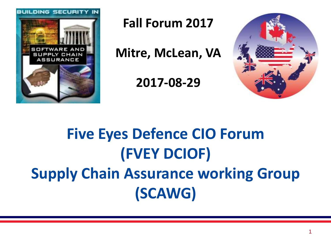

**Fall Forum 2017** 

**Mitre, McLean, VA** 

**2017-08-29** 



#### **Five Eyes Defence CIO Forum (FVEY DCIOF) Supply Chain Assurance working Group (SCAWG)**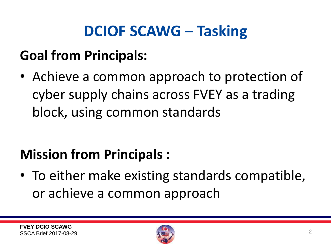#### **DCIOF SCAWG – Tasking**

#### **Goal from Principals:**

• Achieve a common approach to protection of cyber supply chains across FVEY as a trading block, using common standards

#### **Mission from Principals :**

• To either make existing standards compatible, or achieve a common approach

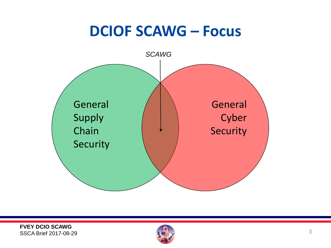#### **DCIOF SCAWG – Focus**



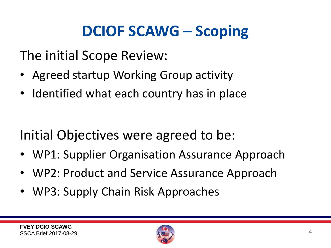#### **DCIOF SCAWG – Scoping**

The initial Scope Review:

- Agreed startup Working Group activity
- Identified what each country has in place

Initial Objectives were agreed to be:

- WP1: Supplier Organisation Assurance Approach
- WP2: Product and Service Assurance Approach
- WP3: Supply Chain Risk Approaches

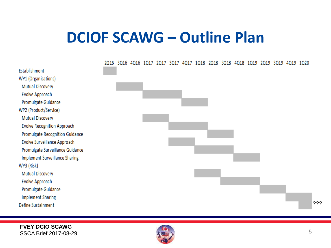#### **DCIOF SCAWG – Outline Plan**



Establishment

WP3 (Risk)

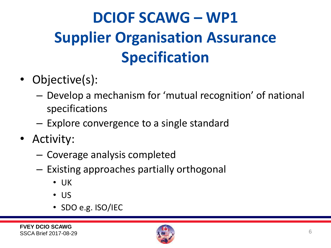### **DCIOF SCAWG – WP1 Supplier Organisation Assurance Specification**

- Objective(s):
	- Develop a mechanism for 'mutual recognition' of national specifications
	- Explore convergence to a single standard
- Activity:
	- Coverage analysis completed
	- Existing approaches partially orthogonal
		- UK
		- US
		- SDO e.g. ISO/IEC

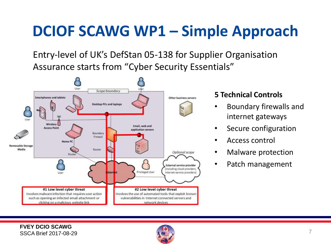#### **DCIOF SCAWG WP1 – Simple Approach**

Entry-level of UK's DefStan 05-138 for Supplier Organisation Assurance starts from "Cyber Security Essentials"



#### **5 Technical Controls**

- Boundary firewalls and internet gateways
- Secure configuration
- Access control
- Malware protection
- Patch management

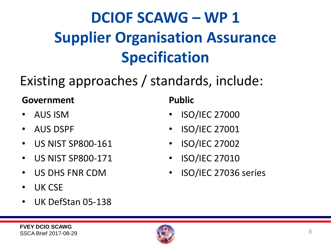#### **DCIOF SCAWG – WP 1 Supplier Organisation Assurance Specification**

#### Existing approaches / standards, include:

#### **Government** Public

- 
- 
- US NIST SP800-161 ISO/IEC 27002
- US NIST SP800-171 ISO/IEC 27010
- 
- UK CSE
- UK DefStan 05-138

- AUS ISM ISO/IEC 27000
- AUS DSPF ISO/IEC 27001
	-
	-
	- US DHS FNR CDM ISO/IEC 27036 series

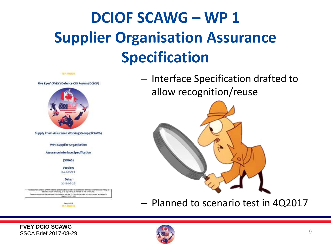#### **DCIOF SCAWG – WP 1 Supplier Organisation Assurance Specification**



– Interface Specification drafted to allow recognition/reuse



– Planned to scenario test in 4Q2017

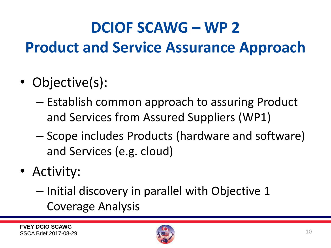#### **DCIOF SCAWG – WP 2 Product and Service Assurance Approach**

- Objective(s):
	- Establish common approach to assuring Product and Services from Assured Suppliers (WP1)
	- Scope includes Products (hardware and software) and Services (e.g. cloud)
- Activity:
	- Initial discovery in parallel with Objective 1 Coverage Analysis

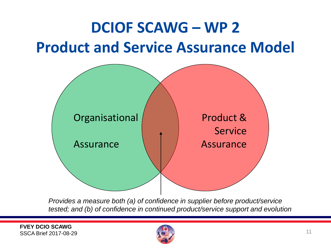#### **DCIOF SCAWG – WP 2 Product and Service Assurance Model**



 *Provides a measure both (a) of confidence in supplier before product/service tested; and (b) of confidence in continued product/service support and evolution* 

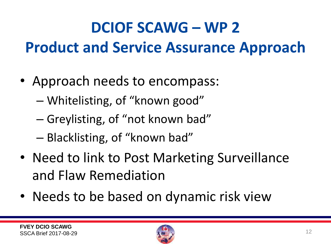# **DCIOF SCAWG – WP 2 Product and Service Assurance Approach**

- Approach needs to encompass:
	- Whitelisting, of "known good"
	- Greylisting, of "not known bad"
	- Blacklisting, of "known bad"
- Need to link to Post Marketing Surveillance and Flaw Remediation
- Needs to be based on dynamic risk view

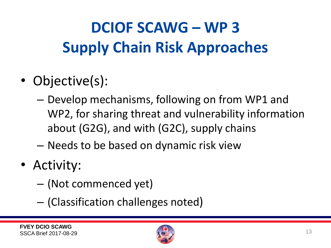# **DCIOF SCAWG – WP 3 Supply Chain Risk Approaches**

- Objective(s):
	- Develop mechanisms, following on from WP1 and WP2, for sharing threat and vulnerability information about (G2G), and with (G2C), supply chains
	- Needs to be based on dynamic risk view
- Activity:
	- (Not commenced yet)
	- (Classification challenges noted)

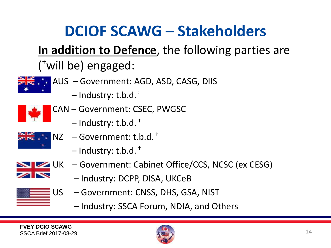#### **DCIOF SCAWG – Stakeholders**

#### **In addition to Defence**, the following parties are (†will be) engaged:



- AUS Government: AGD, ASD, CASG, DIIS
	- Industry: t.b.d. †



- CAN Government: CSEC, PWGSC
	- Industry: t.b.d. †



- NZ Government: t.b.d. †
	- Industry: t.b.d. †



- UK Government: Cabinet Office/CCS, NCSC (ex CESG)
	- Industry: DCPP, DISA, UKCeB
- US Government: CNSS, DHS, GSA, NIST
	- Industry: SSCA Forum, NDIA, and Others

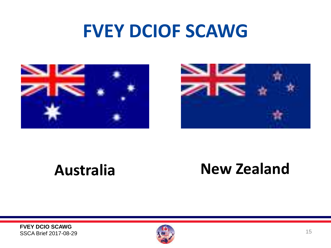



#### **Australia New Zealand**

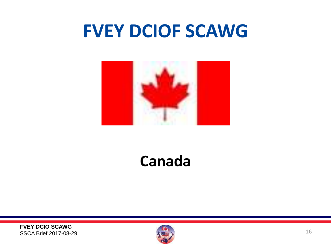

#### **Canada**

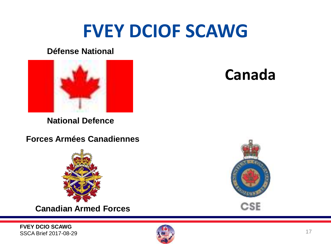#### **Défense National**



**National Defence** 

**Forces Armées Canadiennes** 



**Canadian Armed Forces** 





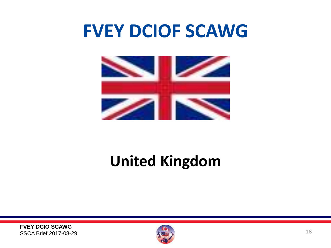

#### **United Kingdom**

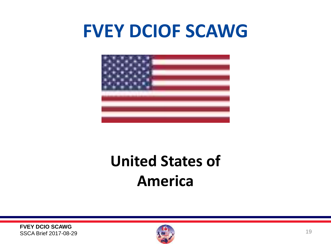

#### **United States of America**

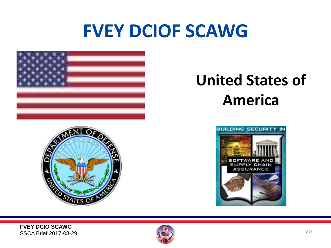

# $O_F$

#### **United States of America**



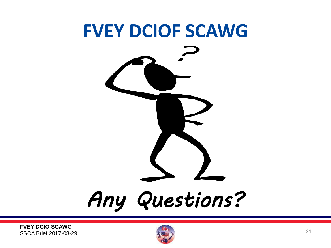